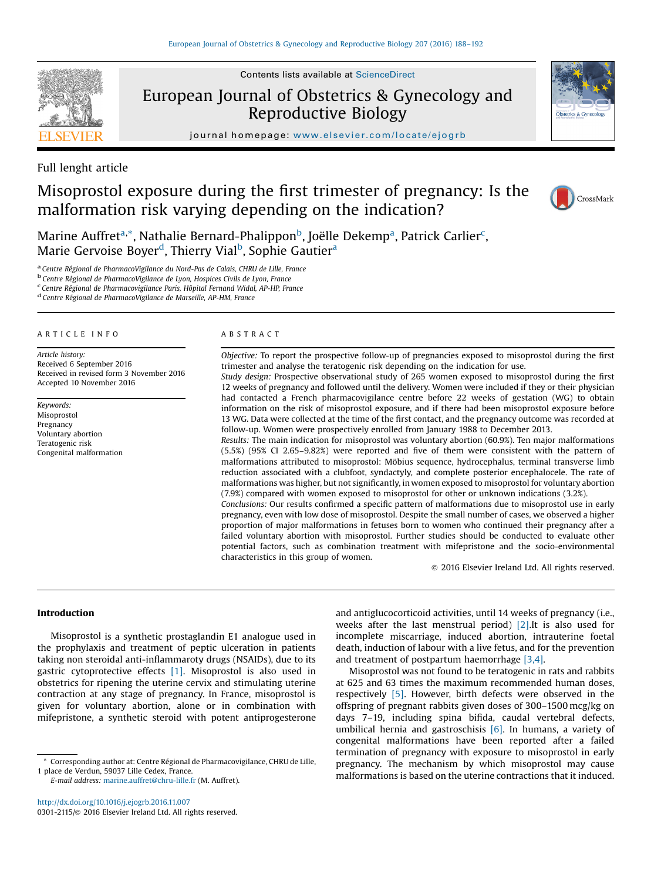

Contents lists available at ScienceDirect

# European Journal of Obstetrics & Gynecology and Reproductive Biology

journal homepage: <www.elsevier.com/locate/ejogrb>



# Misoprostol exposure during the first trimester of pregnancy: Is the malformation risk varying depending on the indication?



Marine Auffret<sup>a,\*</sup>, Nathalie Bernard-Phalippon<sup>b</sup>, Joëlle Dekemp<sup>a</sup>, Patrick Carlier<sup>c</sup>, Marie Gervoise Boyer<sup>d</sup>, Thierry Vial<sup>b</sup>, Sophie Gautier<sup>a</sup>

<sup>a</sup> Centre Régional de PharmacoVigilance du Nord-Pas de Calais, CHRU de Lille, France<br><sup>b</sup> Centre Régional de PharmacoVigilance de Lyon, Hospices Civils de Lyon, France<br><sup>c</sup> Centre Régional de Pharmacovigilance Paris, Hôpita

<sup>d</sup> Centre Régional de PharmacoVigilance de Marseille, AP-HM, France

### A R T I C L E I N F O

Article history: Received 6 September 2016 Received in revised form 3 November 2016 Accepted 10 November 2016

Keywords: Misoprostol Pregnancy Voluntary abortion Teratogenic risk Congenital malformation

# A B S T R A C T

Objective: To report the prospective follow-up of pregnancies exposed to misoprostol during the first trimester and analyse the teratogenic risk depending on the indication for use.

Study design: Prospective observational study of 265 women exposed to misoprostol during the first 12 weeks of pregnancy and followed until the delivery. Women were included if they or their physician had contacted a French pharmacovigilance centre before 22 weeks of gestation (WG) to obtain information on the risk of misoprostol exposure, and if there had been misoprostol exposure before 13 WG. Data were collected at the time of the first contact, and the pregnancy outcome was recorded at follow-up. Women were prospectively enrolled from January 1988 to December 2013.

Results: The main indication for misoprostol was voluntary abortion (60.9%). Ten major malformations (5.5%) (95% CI 2.65–9.82%) were reported and five of them were consistent with the pattern of malformations attributed to misoprostol: Möbius sequence, hydrocephalus, terminal transverse limb reduction associated with a clubfoot, syndactyly, and complete posterior encephalocele. The rate of malformations was higher, but not significantly, in women exposed to misoprostol for voluntary abortion (7.9%) compared with women exposed to misoprostol for other or unknown indications (3.2%).

Conclusions: Our results confirmed a specific pattern of malformations due to misoprostol use in early pregnancy, even with low dose of misoprostol. Despite the small number of cases, we observed a higher proportion of major malformations in fetuses born to women who continued their pregnancy after a failed voluntary abortion with misoprostol. Further studies should be conducted to evaluate other potential factors, such as combination treatment with mifepristone and the socio-environmental characteristics in this group of women.

 $©$  2016 Elsevier Ireland Ltd. All rights reserved.

## Introduction

Misoprostol is a synthetic prostaglandin E1 analogue used in the prophylaxis and treatment of peptic ulceration in patients taking non steroidal anti-inflammaroty drugs (NSAIDs), due to its gastric cytoprotective effects [\[1\]](#page-4-0). Misoprostol is also used in obstetrics for ripening the uterine cervix and stimulating uterine contraction at any stage of pregnancy. In France, misoprostol is given for voluntary abortion, alone or in combination with mifepristone, a synthetic steroid with potent antiprogesterone

E-mail address: [marine.auffret@chru-lille.fr](mailto:marine.auffret@chru-lille.fr) (M. Auffret).

and antiglucocorticoid activities, until 14 weeks of pregnancy (i.e., weeks after the last menstrual period) [\[2\]](#page-4-0).It is also used for incomplete miscarriage, induced abortion, intrauterine foetal death, induction of labour with a live fetus, and for the prevention and treatment of postpartum haemorrhage [\[3,4\].](#page-4-0)

Misoprostol was not found to be teratogenic in rats and rabbits at 625 and 63 times the maximum recommended human doses, respectively [\[5\]](#page-4-0). However, birth defects were observed in the offspring of pregnant rabbits given doses of 300–1500 mcg/kg on days 7–19, including spina bifida, caudal vertebral defects, umbilical hernia and gastroschisis  $[6]$ . In humans, a variety of congenital malformations have been reported after a failed termination of pregnancy with exposure to misoprostol in early pregnancy. The mechanism by which misoprostol may cause malformations is based on the uterine contractions that it induced.

<sup>\*</sup> Corresponding author at: Centre Régional de Pharmacovigilance, CHRU de Lille, 1 place de Verdun, 59037 Lille Cedex, France.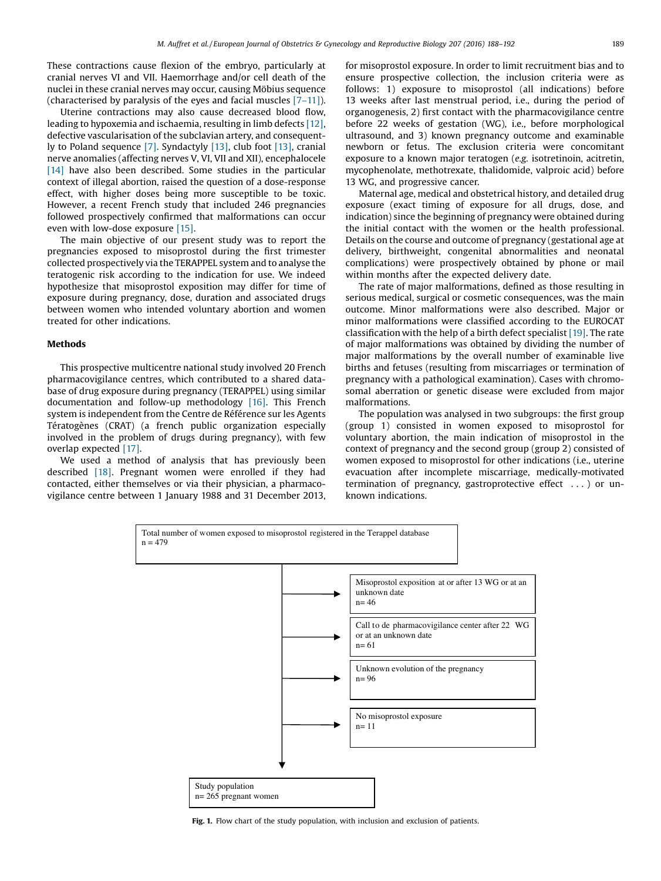<span id="page-1-0"></span>These contractions cause flexion of the embryo, particularly at cranial nerves VI and VII. Haemorrhage and/or cell death of the nuclei in these cranial nerves may occur, causing Möbius sequence (characterised by paralysis of the eyes and facial muscles [7–[11\]\)](#page-4-0).

Uterine contractions may also cause decreased blood flow, leading to hypoxemia and ischaemia, resulting in limb defects [\[12\]](#page-4-0), defective vascularisation of the subclavian artery, and consequently to Poland sequence [\[7\]](#page-4-0). Syndactyly [\[13\]](#page-4-0), club foot [\[13\],](#page-4-0) cranial nerve anomalies (affecting nerves V, VI, VII and XII), encephalocele [\[14\]](#page-4-0) have also been described. Some studies in the particular context of illegal abortion, raised the question of a dose-response effect, with higher doses being more susceptible to be toxic. However, a recent French study that included 246 pregnancies followed prospectively confirmed that malformations can occur even with low-dose exposure [\[15\]](#page-4-0).

The main objective of our present study was to report the pregnancies exposed to misoprostol during the first trimester collected prospectively via the TERAPPEL system and to analyse the teratogenic risk according to the indication for use. We indeed hypothesize that misoprostol exposition may differ for time of exposure during pregnancy, dose, duration and associated drugs between women who intended voluntary abortion and women treated for other indications.

# Methods

This prospective multicentre national study involved 20 French pharmacovigilance centres, which contributed to a shared database of drug exposure during pregnancy (TERAPPEL) using similar documentation and follow-up methodology [\[16\]](#page-4-0). This French system is independent from the Centre de Référence sur les Agents Tératogènes (CRAT) (a french public organization especially involved in the problem of drugs during pregnancy), with few overlap expected [\[17\].](#page-4-0)

We used a method of analysis that has previously been described [\[18\]](#page-4-0). Pregnant women were enrolled if they had contacted, either themselves or via their physician, a pharmacovigilance centre between 1 January 1988 and 31 December 2013, for misoprostol exposure. In order to limit recruitment bias and to ensure prospective collection, the inclusion criteria were as follows: 1) exposure to misoprostol (all indications) before 13 weeks after last menstrual period, i.e., during the period of organogenesis, 2) first contact with the pharmacovigilance centre before 22 weeks of gestation (WG), i.e., before morphological ultrasound, and 3) known pregnancy outcome and examinable newborn or fetus. The exclusion criteria were concomitant exposure to a known major teratogen (e.g. isotretinoin, acitretin, mycophenolate, methotrexate, thalidomide, valproic acid) before 13 WG, and progressive cancer.

Maternal age, medical and obstetrical history, and detailed drug exposure (exact timing of exposure for all drugs, dose, and indication) since the beginning of pregnancy were obtained during the initial contact with the women or the health professional. Details on the course and outcome of pregnancy (gestational age at delivery, birthweight, congenital abnormalities and neonatal complications) were prospectively obtained by phone or mail within months after the expected delivery date.

The rate of major malformations, defined as those resulting in serious medical, surgical or cosmetic consequences, was the main outcome. Minor malformations were also described. Major or minor malformations were classified according to the EUROCAT classification with the help of a birth defect specialist [\[19\]](#page-4-0). The rate of major malformations was obtained by dividing the number of major malformations by the overall number of examinable live births and fetuses (resulting from miscarriages or termination of pregnancy with a pathological examination). Cases with chromosomal aberration or genetic disease were excluded from major malformations.

The population was analysed in two subgroups: the first group (group 1) consisted in women exposed to misoprostol for voluntary abortion, the main indication of misoprostol in the context of pregnancy and the second group (group 2) consisted of women exposed to misoprostol for other indications (i.e., uterine evacuation after incomplete miscarriage, medically-motivated termination of pregnancy, gastroprotective effect . . . ) or unknown indications.



Fig. 1. Flow chart of the study population, with inclusion and exclusion of patients.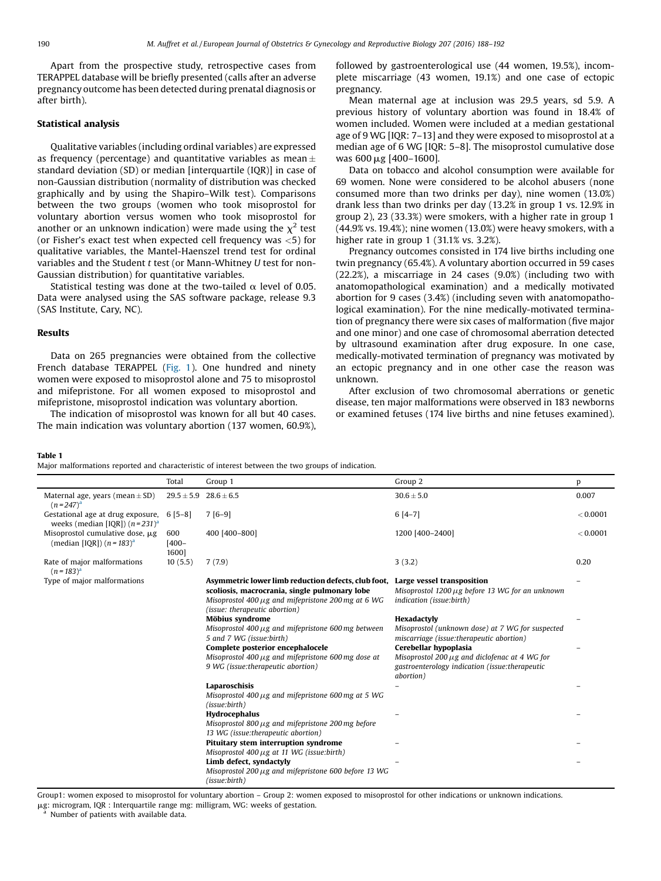<span id="page-2-0"></span>Apart from the prospective study, retrospective cases from TERAPPEL database will be briefly presented (calls after an adverse pregnancy outcome has been detected during prenatal diagnosis or after birth).

# Statistical analysis

Qualitative variables (including ordinal variables) are expressed as frequency (percentage) and quantitative variables as mean  $\pm$ standard deviation (SD) or median [interquartile (IQR)] in case of non-Gaussian distribution (normality of distribution was checked graphically and by using the Shapiro–Wilk test). Comparisons between the two groups (women who took misoprostol for voluntary abortion versus women who took misoprostol for another or an unknown indication) were made using the  $\chi^2$  test (or Fisher's exact test when expected cell frequency was  $<$ 5) for qualitative variables, the Mantel-Haenszel trend test for ordinal variables and the Student t test (or Mann-Whitney U test for non-Gaussian distribution) for quantitative variables.

Statistical testing was done at the two-tailed  $\alpha$  level of 0.05. Data were analysed using the SAS software package, release 9.3 (SAS Institute, Cary, NC).

### Results

Data on 265 pregnancies were obtained from the collective French database TERAPPEL ([Fig.](#page-1-0) 1). One hundred and ninety women were exposed to misoprostol alone and 75 to misoprostol and mifepristone. For all women exposed to misoprostol and mifepristone, misoprostol indication was voluntary abortion.

The indication of misoprostol was known for all but 40 cases. The main indication was voluntary abortion (137 women, 60.9%), followed by gastroenterological use (44 women, 19.5%), incomplete miscarriage (43 women, 19.1%) and one case of ectopic pregnancy.

Mean maternal age at inclusion was 29.5 years, sd 5.9. A previous history of voluntary abortion was found in 18.4% of women included. Women were included at a median gestational age of 9 WG [IQR: 7–13] and they were exposed to misoprostol at a median age of 6 WG [IQR: 5–8]. The misoprostol cumulative dose was 600 µg [400–1600].

Data on tobacco and alcohol consumption were available for 69 women. None were considered to be alcohol abusers (none consumed more than two drinks per day), nine women (13.0%) drank less than two drinks per day (13.2% in group 1 vs. 12.9% in group 2), 23 (33.3%) were smokers, with a higher rate in group 1 (44.9% vs. 19.4%); nine women (13.0%) were heavy smokers, with a higher rate in group 1 (31.1% vs. 3.2%).

Pregnancy outcomes consisted in 174 live births including one twin pregnancy (65.4%). A voluntary abortion occurred in 59 cases (22.2%), a miscarriage in 24 cases (9.0%) (including two with anatomopathological examination) and a medically motivated abortion for 9 cases (3.4%) (including seven with anatomopathological examination). For the nine medically-motivated termination of pregnancy there were six cases of malformation (five major and one minor) and one case of chromosomal aberration detected by ultrasound examination after drug exposure. In one case, medically-motivated termination of pregnancy was motivated by an ectopic pregnancy and in one other case the reason was unknown.

After exclusion of two chromosomal aberrations or genetic disease, ten major malformations were observed in 183 newborns or examined fetuses (174 live births and nine fetuses examined).

Table 1

Major malformations reported and characteristic of interest between the two groups of indication.

|                                                                         | Total                    | Group 1                                                                                                                                                                                          | Group 2                                                                                                                                    | p        |
|-------------------------------------------------------------------------|--------------------------|--------------------------------------------------------------------------------------------------------------------------------------------------------------------------------------------------|--------------------------------------------------------------------------------------------------------------------------------------------|----------|
| Maternal age, years (mean $\pm$ SD)<br>$(n=247)^{a}$                    |                          | $29.5 \pm 5.9$ $28.6 \pm 6.5$                                                                                                                                                                    | $30.6\pm5.0$                                                                                                                               | 0.007    |
| Gestational age at drug exposure,<br>weeks (median [IQR]) $(n=231)^{d}$ | $6[5-8]$                 | $7[6-9]$                                                                                                                                                                                         | $6[4-7]$                                                                                                                                   | < 0.0001 |
| Misoprostol cumulative dose, µg<br>(median [IQR]) $(n = 183)^{a}$       | 600<br>$[400 -$<br>1600] | 400 [400-800]                                                                                                                                                                                    | 1200 [400-2400]                                                                                                                            | < 0.0001 |
| Rate of major malformations<br>$(n = 183)^{a}$                          | 10(5.5)                  | 7(7.9)                                                                                                                                                                                           | 3(3.2)                                                                                                                                     | 0.20     |
| Type of major malformations                                             |                          | Asymmetric lower limb reduction defects, club foot,<br>scoliosis, macrocrania, single pulmonary lobe<br>Misoprostol 400 $\mu$ g and mifepristone 200 mg at 6 WG<br>(issue: therapeutic abortion) | Large vessel transposition<br>Misoprostol 1200 $\mu$ g before 13 WG for an unknown<br>indication (issue:birth)                             |          |
|                                                                         |                          | Möbius syndrome<br>Misoprostol $400 \mu$ g and mifepristone 600 mg between<br>5 and 7 WG (issue:birth)                                                                                           | Hexadactyly<br>Misoprostol (unknown dose) at 7 WG for suspected<br>miscarriage (issue:therapeutic abortion)                                |          |
|                                                                         |                          | Complete posterior encephalocele<br>Misoprostol 400 $\mu$ g and mifepristone 600 mg dose at<br>9 WG (issue:therapeutic abortion)                                                                 | Cerebellar hypoplasia<br>Misoprostol 200 $\mu$ g and diclofenac at 4 WG for<br>gastroenterology indication (issue:therapeutic<br>abortion) |          |
|                                                                         |                          | Laparoschisis<br>Misoprostol 400 $\mu$ g and mifepristone 600 mg at 5 WG<br>(issue:birth)                                                                                                        |                                                                                                                                            |          |
|                                                                         |                          | Hydrocephalus<br>Misoprostol 800 $\mu$ g and mifepristone 200 mg before<br>13 WG (issue:therapeutic abortion)                                                                                    |                                                                                                                                            |          |
|                                                                         |                          | Pituitary stem interruption syndrome<br>Misoprostol $400 \mu$ g at 11 WG (issue:birth)                                                                                                           |                                                                                                                                            |          |
|                                                                         |                          | Limb defect, syndactyly<br>Misoprostol $200 \mu$ g and mifepristone 600 before 13 WG<br>(issue:birth)                                                                                            |                                                                                                                                            |          |

Group1: women exposed to misoprostol for voluntary abortion – Group 2: women exposed to misoprostol for other indications or unknown indications.

mg: microgram, IQR : Interquartile range mg: milligram, WG: weeks of gestation.

<sup>a</sup> Number of patients with available data.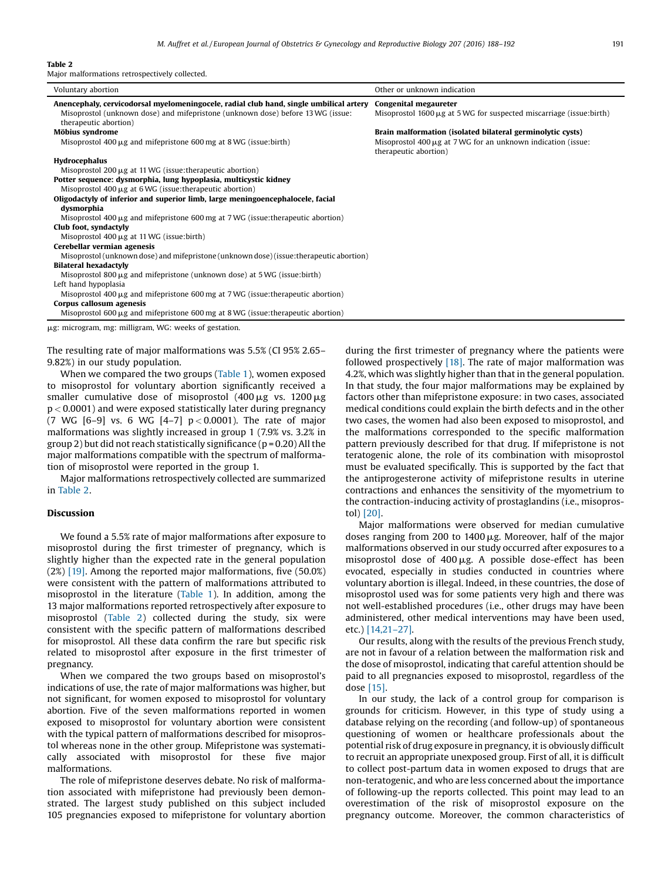M. Auffret et al. / European Journal of Obstetrics & Gynecology and Reproductive Biology 207 (2016) 188-192 191

#### Table 2

Major malformations retrospectively collected.

| Voluntary abortion                                                                                       | Other or unknown indication                                                                |  |  |  |
|----------------------------------------------------------------------------------------------------------|--------------------------------------------------------------------------------------------|--|--|--|
| Anencephaly, cervicodorsal myelomeningocele, radial club hand, single umbilical artery                   | Congenital megaureter                                                                      |  |  |  |
| Misoprostol (unknown dose) and mifepristone (unknown dose) before 13 WG (issue:<br>therapeutic abortion) | Misoprostol $1600 \mu$ g at 5 WG for suspected miscarriage (issue:birth)                   |  |  |  |
| Möbius syndrome                                                                                          | Brain malformation (isolated bilateral germinolytic cysts)                                 |  |  |  |
| Misoprostol $400 \mu$ g and mifepristone $600 \text{ mg}$ at $8 \text{ WG}$ (issue:birth)                | Misoprostol $400 \mu$ g at 7 WG for an unknown indication (issue:<br>therapeutic abortion) |  |  |  |
| Hydrocephalus                                                                                            |                                                                                            |  |  |  |
| Misoprostol 200 µg at 11 WG (issue: the rapeutic abortion)                                               |                                                                                            |  |  |  |
| Potter sequence: dysmorphia, lung hypoplasia, multicystic kidney                                         |                                                                                            |  |  |  |
| Misoprostol $400 \mu$ g at $6$ WG (issue: the rapeutic abortion)                                         |                                                                                            |  |  |  |
| Oligodactyly of inferior and superior limb, large meningoencephalocele, facial                           |                                                                                            |  |  |  |
| dysmorphia                                                                                               |                                                                                            |  |  |  |
| Misoprostol 400 µg and mifepristone 600 mg at 7 WG (issue: the rapeutic abortion)                        |                                                                                            |  |  |  |
| Club foot, syndactyly                                                                                    |                                                                                            |  |  |  |
| Misoprostol $400 \mu g$ at 11 WG (issue:birth)                                                           |                                                                                            |  |  |  |
| Cerebellar vermian agenesis                                                                              |                                                                                            |  |  |  |
| Misoprostol (unknown dose) and mifepristone (unknown dose) (issue: the rapeutic abortion)                |                                                                                            |  |  |  |
| <b>Bilateral hexadactyly</b>                                                                             |                                                                                            |  |  |  |
| Misoprostol 800 $\mu$ g and mifepristone (unknown dose) at 5 WG (issue: birth)                           |                                                                                            |  |  |  |
| Left hand hypoplasia                                                                                     |                                                                                            |  |  |  |
| Misoprostol 400 $\mu$ g and mifepristone 600 mg at 7 WG (issue: the rapeutic abortion)                   |                                                                                            |  |  |  |
| Corpus callosum agenesis                                                                                 |                                                                                            |  |  |  |
| Misoprostol 600 $\mu$ g and mifepristone 600 mg at 8 WG (issue: the rapeutic abortion)                   |                                                                                            |  |  |  |
| µg: microgram, mg: milligram, WG: weeks of gestation.                                                    |                                                                                            |  |  |  |

The resulting rate of major malformations was 5.5% (CI 95% 2.65–

9.82%) in our study population. When we compared the two groups ([Table](#page-2-0) 1), women exposed to misoprostol for voluntary abortion significantly received a smaller cumulative dose of misoprostol  $(400 \mu g$  vs.  $1200 \mu g$  $p < 0.0001$ ) and were exposed statistically later during pregnancy (7 WG  $[6-9]$  vs. 6 WG  $[4-7]$   $p < 0.0001$ ). The rate of major malformations was slightly increased in group 1 (7.9% vs. 3.2% in group 2) but did not reach statistically significance ( $p = 0.20$ ) All the major malformations compatible with the spectrum of malformation of misoprostol were reported in the group 1.

Major malformations retrospectively collected are summarized in Table 2.

### Discussion

We found a 5.5% rate of major malformations after exposure to misoprostol during the first trimester of pregnancy, which is slightly higher than the expected rate in the general population (2%) [\[19\].](#page-4-0) Among the reported major malformations, five (50.0%) were consistent with the pattern of malformations attributed to misoprostol in the literature ([Table](#page-2-0) 1). In addition, among the 13 major malformations reported retrospectively after exposure to misoprostol (Table 2) collected during the study, six were consistent with the specific pattern of malformations described for misoprostol. All these data confirm the rare but specific risk related to misoprostol after exposure in the first trimester of pregnancy.

When we compared the two groups based on misoprostol's indications of use, the rate of major malformations was higher, but not significant, for women exposed to misoprostol for voluntary abortion. Five of the seven malformations reported in women exposed to misoprostol for voluntary abortion were consistent with the typical pattern of malformations described for misoprostol whereas none in the other group. Mifepristone was systematically associated with misoprostol for these five major malformations.

The role of mifepristone deserves debate. No risk of malformation associated with mifepristone had previously been demonstrated. The largest study published on this subject included 105 pregnancies exposed to mifepristone for voluntary abortion during the first trimester of pregnancy where the patients were followed prospectively [\[18\]](#page-4-0). The rate of major malformation was 4.2%, which was slightly higher than that in the general population. In that study, the four major malformations may be explained by factors other than mifepristone exposure: in two cases, associated medical conditions could explain the birth defects and in the other two cases, the women had also been exposed to misoprostol, and the malformations corresponded to the specific malformation pattern previously described for that drug. If mifepristone is not teratogenic alone, the role of its combination with misoprostol must be evaluated specifically. This is supported by the fact that the antiprogesterone activity of mifepristone results in uterine contractions and enhances the sensitivity of the myometrium to the contraction-inducing activity of prostaglandins (i.e., misoprostol) [\[20\]](#page-4-0).

Major malformations were observed for median cumulative doses ranging from 200 to  $1400 \mu$ g. Moreover, half of the major malformations observed in our study occurred after exposures to a misoprostol dose of  $400 \mu$ g. A possible dose-effect has been evocated, especially in studies conducted in countries where voluntary abortion is illegal. Indeed, in these countries, the dose of misoprostol used was for some patients very high and there was not well-established procedures (i.e., other drugs may have been administered, other medical interventions may have been used, etc.) [\[14,21](#page-4-0)–27].

Our results, along with the results of the previous French study, are not in favour of a relation between the malformation risk and the dose of misoprostol, indicating that careful attention should be paid to all pregnancies exposed to misoprostol, regardless of the dose [\[15\]](#page-4-0).

In our study, the lack of a control group for comparison is grounds for criticism. However, in this type of study using a database relying on the recording (and follow-up) of spontaneous questioning of women or healthcare professionals about the potential risk of drug exposure in pregnancy, it is obviously difficult to recruit an appropriate unexposed group. First of all, it is difficult to collect post-partum data in women exposed to drugs that are non-teratogenic, and who are less concerned about the importance of following-up the reports collected. This point may lead to an overestimation of the risk of misoprostol exposure on the pregnancy outcome. Moreover, the common characteristics of